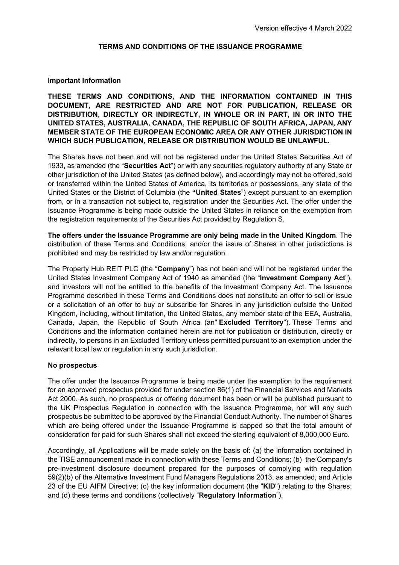#### **TERMS AND CONDITIONS OF THE ISSUANCE PROGRAMME**

#### **Important Information**

**THESE TERMS AND CONDITIONS, AND THE INFORMATION CONTAINED IN THIS DOCUMENT, ARE RESTRICTED AND ARE NOT FOR PUBLICATION, RELEASE OR DISTRIBUTION, DIRECTLY OR INDIRECTLY, IN WHOLE OR IN PART, IN OR INTO THE UNITED STATES, AUSTRALIA, CANADA, THE REPUBLIC OF SOUTH AFRICA, JAPAN, ANY MEMBER STATE OF THE EUROPEAN ECONOMIC AREA OR ANY OTHER JURISDICTION IN WHICH SUCH PUBLICATION, RELEASE OR DISTRIBUTION WOULD BE UNLAWFUL.**

The Shares have not been and will not be registered under the United States Securities Act of 1933, as amended (the "**Securities Act**") or with any securities regulatory authority of any State or other jurisdiction of the United States (as defined below), and accordingly may not be offered, sold or transferred within the United States of America, its territories or possessions, any state of the United States or the District of Columbia (the **"United States**") except pursuant to an exemption from, or in a transaction not subject to, registration under the Securities Act. The offer under the Issuance Programme is being made outside the United States in reliance on the exemption from the registration requirements of the Securities Act provided by Regulation S.

**The offers under the Issuance Programme are only being made in the United Kingdom**. The distribution of these Terms and Conditions, and/or the issue of Shares in other jurisdictions is prohibited and may be restricted by law and/or regulation.

The Property Hub REIT PLC (the "**Company**") has not been and will not be registered under the United States Investment Company Act of 1940 as amended (the "**Investment Company Act**"), and investors will not be entitled to the benefits of the Investment Company Act. The Issuance Programme described in these Terms and Conditions does not constitute an offer to sell or issue or a solicitation of an offer to buy or subscribe for Shares in any jurisdiction outside the United Kingdom, including, without limitation, the United States, any member state of the EEA, Australia, Canada, Japan, the Republic of South Africa (an" **Excluded Territory**"). These Terms and Conditions and the information contained herein are not for publication or distribution, directly or indirectly, to persons in an Excluded Territory unless permitted pursuant to an exemption under the relevant local law or regulation in any such jurisdiction.

#### **No prospectus**

The offer under the Issuance Programme is being made under the exemption to the requirement for an approved prospectus provided for under section 86(1) of the Financial Services and Markets Act 2000. As such, no prospectus or offering document has been or will be published pursuant to the UK Prospectus Regulation in connection with the Issuance Programme, nor will any such prospectus be submitted to be approved by the Financial Conduct Authority. The number of Shares which are being offered under the Issuance Programme is capped so that the total amount of consideration for paid for such Shares shall not exceed the sterling equivalent of 8,000,000 Euro.

Accordingly, all Applications will be made solely on the basis of: (a) the information contained in the TISE announcement made in connection with these Terms and Conditions; (b) the Company's pre-investment disclosure document prepared for the purposes of complying with regulation 59(2)(b) of the Alternative Investment Fund Managers Regulations 2013, as amended, and Article 23 of the EU AIFM Directive; (c) the key information document (the "**KID**") relating to the Shares; and (d) these terms and conditions (collectively "**Regulatory Information**").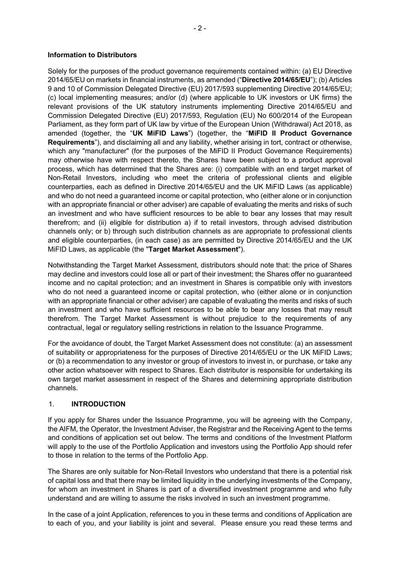## **Information to Distributors**

Solely for the purposes of the product governance requirements contained within: (a) EU Directive 2014/65/EU on markets in financial instruments, as amended ("**Directive 2014/65/EU**"); (b) Articles 9 and 10 of Commission Delegated Directive (EU) 2017/593 supplementing Directive 2014/65/EU; (c) local implementing measures; and/or (d) (where applicable to UK investors or UK firms) the relevant provisions of the UK statutory instruments implementing Directive 2014/65/EU and Commission Delegated Directive (EU) 2017/593, Regulation (EU) No 600/2014 of the European Parliament, as they form part of UK law by virtue of the European Union (Withdrawal) Act 2018, as amended (together, the "**UK MiFID Laws**") (together, the "**MiFID II Product Governance Requirements**"), and disclaiming all and any liability, whether arising in tort, contract or otherwise, which any "manufacturer" (for the purposes of the MiFID II Product Governance Requirements) may otherwise have with respect thereto, the Shares have been subject to a product approval process, which has determined that the Shares are: (i) compatible with an end target market of Non-Retail Investors, including who meet the criteria of professional clients and eligible counterparties, each as defined in Directive 2014/65/EU and the UK MiFID Laws (as applicable) and who do not need a guaranteed income or capital protection, who (either alone or in conjunction with an appropriate financial or other adviser) are capable of evaluating the merits and risks of such an investment and who have sufficient resources to be able to bear any losses that may result therefrom; and (ii) eligible for distribution a) if to retail investors, through advised distribution channels only; or b) through such distribution channels as are appropriate to professional clients and eligible counterparties, (in each case) as are permitted by Directive 2014/65/EU and the UK MiFID Laws, as applicable (the "**Target Market Assessment**").

Notwithstanding the Target Market Assessment, distributors should note that: the price of Shares may decline and investors could lose all or part of their investment; the Shares offer no guaranteed income and no capital protection; and an investment in Shares is compatible only with investors who do not need a guaranteed income or capital protection, who (either alone or in conjunction with an appropriate financial or other adviser) are capable of evaluating the merits and risks of such an investment and who have sufficient resources to be able to bear any losses that may result therefrom. The Target Market Assessment is without prejudice to the requirements of any contractual, legal or regulatory selling restrictions in relation to the Issuance Programme.

For the avoidance of doubt, the Target Market Assessment does not constitute: (a) an assessment of suitability or appropriateness for the purposes of Directive 2014/65/EU or the UK MiFID Laws; or (b) a recommendation to any investor or group of investors to invest in, or purchase, or take any other action whatsoever with respect to Shares. Each distributor is responsible for undertaking its own target market assessment in respect of the Shares and determining appropriate distribution channels.

# 1. **INTRODUCTION**

If you apply for Shares under the Issuance Programme, you will be agreeing with the Company, the AIFM, the Operator, the Investment Adviser, the Registrar and the Receiving Agent to the terms and conditions of application set out below. The terms and conditions of the Investment Platform will apply to the use of the Portfolio Application and investors using the Portfolio App should refer to those in relation to the terms of the Portfolio App.

The Shares are only suitable for Non-Retail Investors who understand that there is a potential risk of capital loss and that there may be limited liquidity in the underlying investments of the Company, for whom an investment in Shares is part of a diversified investment programme and who fully understand and are willing to assume the risks involved in such an investment programme.

In the case of a joint Application, references to you in these terms and conditions of Application are to each of you, and your liability is joint and several. Please ensure you read these terms and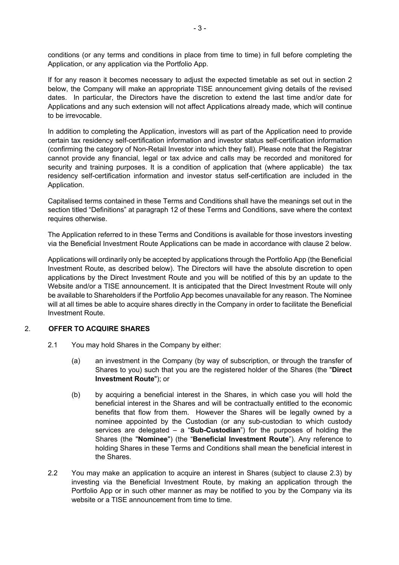conditions (or any terms and conditions in place from time to time) in full before completing the Application, or any application via the Portfolio App.

If for any reason it becomes necessary to adjust the expected timetable as set out in section 2 below, the Company will make an appropriate TISE announcement giving details of the revised dates. In particular, the Directors have the discretion to extend the last time and/or date for Applications and any such extension will not affect Applications already made, which will continue to be irrevocable.

In addition to completing the Application, investors will as part of the Application need to provide certain tax residency self-certification information and investor status self-certification information (confirming the category of Non-Retail Investor into which they fall). Please note that the Registrar cannot provide any financial, legal or tax advice and calls may be recorded and monitored for security and training purposes. It is a condition of application that (where applicable) the tax residency self-certification information and investor status self-certification are included in the Application.

Capitalised terms contained in these Terms and Conditions shall have the meanings set out in the section titled "Definitions" at paragraph 12 of these Terms and Conditions, save where the context requires otherwise.

The Application referred to in these Terms and Conditions is available for those investors investing via the Beneficial Investment Route Applications can be made in accordance with clause 2 below.

Applications will ordinarily only be accepted by applications through the Portfolio App (the Beneficial Investment Route, as described below). The Directors will have the absolute discretion to open applications by the Direct Investment Route and you will be notified of this by an update to the Website and/or a TISE announcement. It is anticipated that the Direct Investment Route will only be available to Shareholders if the Portfolio App becomes unavailable for any reason. The Nominee will at all times be able to acquire shares directly in the Company in order to facilitate the Beneficial Investment Route.

# 2. **OFFER TO ACQUIRE SHARES**

- 2.1 You may hold Shares in the Company by either:
	- (a) an investment in the Company (by way of subscription, or through the transfer of Shares to you) such that you are the registered holder of the Shares (the "**Direct Investment Route**"); or
	- (b) by acquiring a beneficial interest in the Shares, in which case you will hold the beneficial interest in the Shares and will be contractually entitled to the economic benefits that flow from them. However the Shares will be legally owned by a nominee appointed by the Custodian (or any sub-custodian to which custody services are delegated – a "**Sub-Custodian**") for the purposes of holding the Shares (the "**Nominee**") (the "**Beneficial Investment Route**"). Any reference to holding Shares in these Terms and Conditions shall mean the beneficial interest in the Shares.
- 2.2 You may make an application to acquire an interest in Shares (subject to clause 2.3) by investing via the Beneficial Investment Route, by making an application through the Portfolio App or in such other manner as may be notified to you by the Company via its website or a TISE announcement from time to time.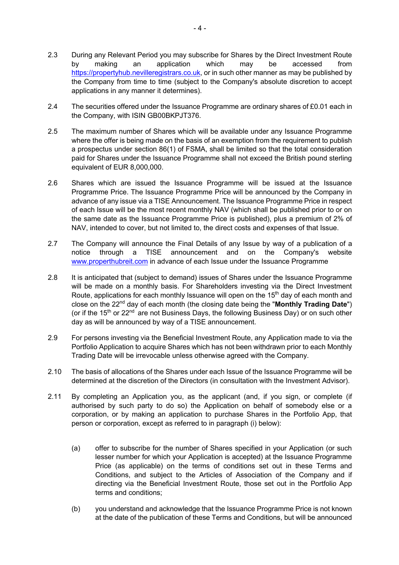- 2.3 During any Relevant Period you may subscribe for Shares by the Direct Investment Route by making an application which may be accessed from https://propertyhub.nevilleregistrars.co.uk, or in such other manner as may be published by the Company from time to time (subject to the Company's absolute discretion to accept applications in any manner it determines).
- 2.4 The securities offered under the Issuance Programme are ordinary shares of £0.01 each in the Company, with ISIN GB00BKPJT376.
- 2.5 The maximum number of Shares which will be available under any Issuance Programme where the offer is being made on the basis of an exemption from the requirement to publish a prospectus under section 86(1) of FSMA, shall be limited so that the total consideration paid for Shares under the Issuance Programme shall not exceed the British pound sterling equivalent of EUR 8,000,000.
- 2.6 Shares which are issued the Issuance Programme will be issued at the Issuance Programme Price. The Issuance Programme Price will be announced by the Company in advance of any issue via a TISE Announcement. The Issuance Programme Price in respect of each Issue will be the most recent monthly NAV (which shall be published prior to or on the same date as the Issuance Programme Price is published), plus a premium of 2% of NAV, intended to cover, but not limited to, the direct costs and expenses of that Issue.
- 2.7 The Company will announce the Final Details of any Issue by way of a publication of a notice through a TISE announcement and on the Company's website www.properthubreit.com in advance of each Issue under the Issuance Programme
- 2.8 It is anticipated that (subject to demand) issues of Shares under the Issuance Programme will be made on a monthly basis. For Shareholders investing via the Direct Investment Route, applications for each monthly Issuance will open on the  $15<sup>th</sup>$  day of each month and close on the 22nd day of each month (the closing date being the "**Monthly Trading Date**") (or if the  $15<sup>th</sup>$  or  $22<sup>nd</sup>$  are not Business Days, the following Business Day) or on such other day as will be announced by way of a TISE announcement.
- 2.9 For persons investing via the Beneficial Investment Route, any Application made to via the Portfolio Application to acquire Shares which has not been withdrawn prior to each Monthly Trading Date will be irrevocable unless otherwise agreed with the Company.
- 2.10 The basis of allocations of the Shares under each Issue of the Issuance Programme will be determined at the discretion of the Directors (in consultation with the Investment Advisor).
- 2.11 By completing an Application you, as the applicant (and, if you sign, or complete (if authorised by such party to do so) the Application on behalf of somebody else or a corporation, or by making an application to purchase Shares in the Portfolio App, that person or corporation, except as referred to in paragraph (i) below):
	- (a) offer to subscribe for the number of Shares specified in your Application (or such lesser number for which your Application is accepted) at the Issuance Programme Price (as applicable) on the terms of conditions set out in these Terms and Conditions, and subject to the Articles of Association of the Company and if directing via the Beneficial Investment Route, those set out in the Portfolio App terms and conditions;
	- (b) you understand and acknowledge that the Issuance Programme Price is not known at the date of the publication of these Terms and Conditions, but will be announced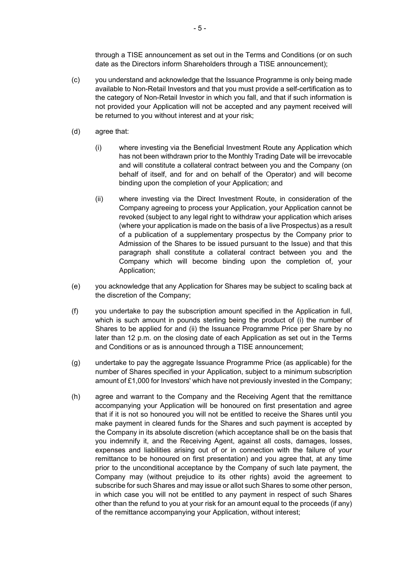through a TISE announcement as set out in the Terms and Conditions (or on such date as the Directors inform Shareholders through a TISE announcement);

- (c) you understand and acknowledge that the Issuance Programme is only being made available to Non-Retail Investors and that you must provide a self-certification as to the category of Non-Retail Investor in which you fall, and that if such information is not provided your Application will not be accepted and any payment received will be returned to you without interest and at your risk;
- (d) agree that:
	- (i) where investing via the Beneficial Investment Route any Application which has not been withdrawn prior to the Monthly Trading Date will be irrevocable and will constitute a collateral contract between you and the Company (on behalf of itself, and for and on behalf of the Operator) and will become binding upon the completion of your Application; and
	- (ii) where investing via the Direct Investment Route, in consideration of the Company agreeing to process your Application, your Application cannot be revoked (subject to any legal right to withdraw your application which arises (where your application is made on the basis of a live Prospectus) as a result of a publication of a supplementary prospectus by the Company prior to Admission of the Shares to be issued pursuant to the Issue) and that this paragraph shall constitute a collateral contract between you and the Company which will become binding upon the completion of, your Application;
- (e) you acknowledge that any Application for Shares may be subject to scaling back at the discretion of the Company;
- (f) you undertake to pay the subscription amount specified in the Application in full, which is such amount in pounds sterling being the product of (i) the number of Shares to be applied for and (ii) the Issuance Programme Price per Share by no later than 12 p.m. on the closing date of each Application as set out in the Terms and Conditions or as is announced through a TISE announcement;
- (g) undertake to pay the aggregate Issuance Programme Price (as applicable) for the number of Shares specified in your Application, subject to a minimum subscription amount of £1,000 for Investors' which have not previously invested in the Company;
- (h) agree and warrant to the Company and the Receiving Agent that the remittance accompanying your Application will be honoured on first presentation and agree that if it is not so honoured you will not be entitled to receive the Shares until you make payment in cleared funds for the Shares and such payment is accepted by the Company in its absolute discretion (which acceptance shall be on the basis that you indemnify it, and the Receiving Agent, against all costs, damages, losses, expenses and liabilities arising out of or in connection with the failure of your remittance to be honoured on first presentation) and you agree that, at any time prior to the unconditional acceptance by the Company of such late payment, the Company may (without prejudice to its other rights) avoid the agreement to subscribe for such Shares and may issue or allot such Shares to some other person, in which case you will not be entitled to any payment in respect of such Shares other than the refund to you at your risk for an amount equal to the proceeds (if any) of the remittance accompanying your Application, without interest;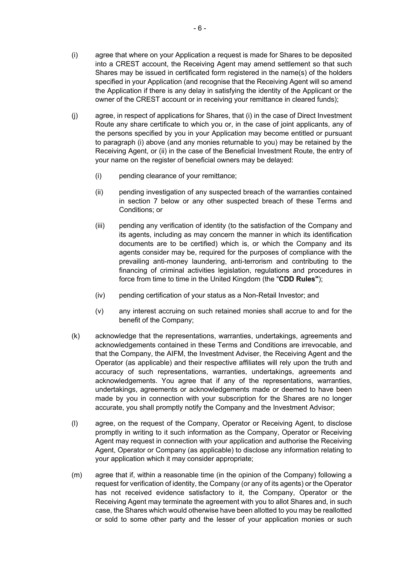- (i) agree that where on your Application a request is made for Shares to be deposited into a CREST account, the Receiving Agent may amend settlement so that such Shares may be issued in certificated form registered in the name(s) of the holders specified in your Application (and recognise that the Receiving Agent will so amend the Application if there is any delay in satisfying the identity of the Applicant or the owner of the CREST account or in receiving your remittance in cleared funds);
- (j) agree, in respect of applications for Shares, that (i) in the case of Direct Investment Route any share certificate to which you or, in the case of joint applicants, any of the persons specified by you in your Application may become entitled or pursuant to paragraph (i) above (and any monies returnable to you) may be retained by the Receiving Agent, or (ii) in the case of the Beneficial Investment Route, the entry of your name on the register of beneficial owners may be delayed:
	- (i) pending clearance of your remittance;
	- (ii) pending investigation of any suspected breach of the warranties contained in section 7 below or any other suspected breach of these Terms and Conditions; or
	- (iii) pending any verification of identity (to the satisfaction of the Company and its agents, including as may concern the manner in which its identification documents are to be certified) which is, or which the Company and its agents consider may be, required for the purposes of compliance with the prevailing anti-money laundering, anti-terrorism and contributing to the financing of criminal activities legislation, regulations and procedures in force from time to time in the United Kingdom (the "**CDD Rules"**);
	- (iv) pending certification of your status as a Non-Retail Investor; and
	- (v) any interest accruing on such retained monies shall accrue to and for the benefit of the Company;
- (k) acknowledge that the representations, warranties, undertakings, agreements and acknowledgements contained in these Terms and Conditions are irrevocable, and that the Company, the AIFM, the Investment Adviser, the Receiving Agent and the Operator (as applicable) and their respective affiliates will rely upon the truth and accuracy of such representations, warranties, undertakings, agreements and acknowledgements. You agree that if any of the representations, warranties, undertakings, agreements or acknowledgements made or deemed to have been made by you in connection with your subscription for the Shares are no longer accurate, you shall promptly notify the Company and the Investment Advisor;
- (l) agree, on the request of the Company, Operator or Receiving Agent, to disclose promptly in writing to it such information as the Company, Operator or Receiving Agent may request in connection with your application and authorise the Receiving Agent, Operator or Company (as applicable) to disclose any information relating to your application which it may consider appropriate;
- (m) agree that if, within a reasonable time (in the opinion of the Company) following a request for verification of identity, the Company (or any of its agents) or the Operator has not received evidence satisfactory to it, the Company, Operator or the Receiving Agent may terminate the agreement with you to allot Shares and, in such case, the Shares which would otherwise have been allotted to you may be reallotted or sold to some other party and the lesser of your application monies or such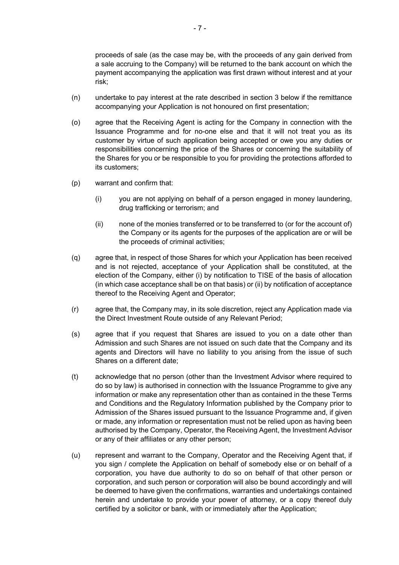proceeds of sale (as the case may be, with the proceeds of any gain derived from a sale accruing to the Company) will be returned to the bank account on which the payment accompanying the application was first drawn without interest and at your risk;

- (n) undertake to pay interest at the rate described in section 3 below if the remittance accompanying your Application is not honoured on first presentation;
- (o) agree that the Receiving Agent is acting for the Company in connection with the Issuance Programme and for no-one else and that it will not treat you as its customer by virtue of such application being accepted or owe you any duties or responsibilities concerning the price of the Shares or concerning the suitability of the Shares for you or be responsible to you for providing the protections afforded to its customers;
- (p) warrant and confirm that:
	- (i) you are not applying on behalf of a person engaged in money laundering, drug trafficking or terrorism; and
	- (ii) none of the monies transferred or to be transferred to (or for the account of) the Company or its agents for the purposes of the application are or will be the proceeds of criminal activities;
- (q) agree that, in respect of those Shares for which your Application has been received and is not rejected, acceptance of your Application shall be constituted, at the election of the Company, either (i) by notification to TISE of the basis of allocation (in which case acceptance shall be on that basis) or (ii) by notification of acceptance thereof to the Receiving Agent and Operator;
- (r) agree that, the Company may, in its sole discretion, reject any Application made via the Direct Investment Route outside of any Relevant Period;
- (s) agree that if you request that Shares are issued to you on a date other than Admission and such Shares are not issued on such date that the Company and its agents and Directors will have no liability to you arising from the issue of such Shares on a different date;
- (t) acknowledge that no person (other than the Investment Advisor where required to do so by law) is authorised in connection with the Issuance Programme to give any information or make any representation other than as contained in the these Terms and Conditions and the Regulatory Information published by the Company prior to Admission of the Shares issued pursuant to the Issuance Programme and, if given or made, any information or representation must not be relied upon as having been authorised by the Company, Operator, the Receiving Agent, the Investment Advisor or any of their affiliates or any other person;
- (u) represent and warrant to the Company, Operator and the Receiving Agent that, if you sign / complete the Application on behalf of somebody else or on behalf of a corporation, you have due authority to do so on behalf of that other person or corporation, and such person or corporation will also be bound accordingly and will be deemed to have given the confirmations, warranties and undertakings contained herein and undertake to provide your power of attorney, or a copy thereof duly certified by a solicitor or bank, with or immediately after the Application;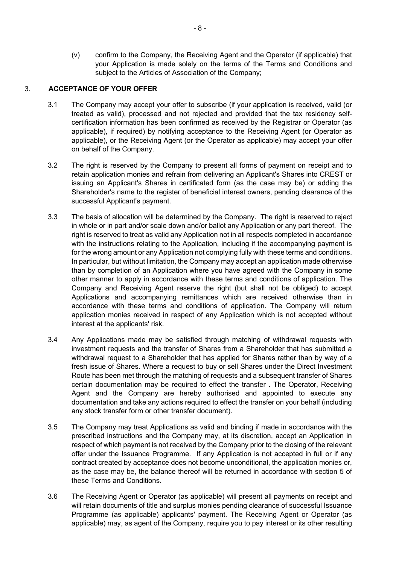(v) confirm to the Company, the Receiving Agent and the Operator (if applicable) that your Application is made solely on the terms of the Terms and Conditions and subject to the Articles of Association of the Company;

# 3. **ACCEPTANCE OF YOUR OFFER**

- 3.1 The Company may accept your offer to subscribe (if your application is received, valid (or treated as valid), processed and not rejected and provided that the tax residency selfcertification information has been confirmed as received by the Registrar or Operator (as applicable), if required) by notifying acceptance to the Receiving Agent (or Operator as applicable), or the Receiving Agent (or the Operator as applicable) may accept your offer on behalf of the Company.
- 3.2 The right is reserved by the Company to present all forms of payment on receipt and to retain application monies and refrain from delivering an Applicant's Shares into CREST or issuing an Applicant's Shares in certificated form (as the case may be) or adding the Shareholder's name to the register of beneficial interest owners, pending clearance of the successful Applicant's payment.
- 3.3 The basis of allocation will be determined by the Company. The right is reserved to reject in whole or in part and/or scale down and/or ballot any Application or any part thereof. The right is reserved to treat as valid any Application not in all respects completed in accordance with the instructions relating to the Application, including if the accompanying payment is for the wrong amount or any Application not complying fully with these terms and conditions. In particular, but without limitation, the Company may accept an application made otherwise than by completion of an Application where you have agreed with the Company in some other manner to apply in accordance with these terms and conditions of application. The Company and Receiving Agent reserve the right (but shall not be obliged) to accept Applications and accompanying remittances which are received otherwise than in accordance with these terms and conditions of application. The Company will return application monies received in respect of any Application which is not accepted without interest at the applicants' risk.
- 3.4 Any Applications made may be satisfied through matching of withdrawal requests with investment requests and the transfer of Shares from a Shareholder that has submitted a withdrawal request to a Shareholder that has applied for Shares rather than by way of a fresh issue of Shares. Where a request to buy or sell Shares under the Direct Investment Route has been met through the matching of requests and a subsequent transfer of Shares certain documentation may be required to effect the transfer . The Operator, Receiving Agent and the Company are hereby authorised and appointed to execute any documentation and take any actions required to effect the transfer on your behalf (including any stock transfer form or other transfer document).
- 3.5 The Company may treat Applications as valid and binding if made in accordance with the prescribed instructions and the Company may, at its discretion, accept an Application in respect of which payment is not received by the Company prior to the closing of the relevant offer under the Issuance Programme. If any Application is not accepted in full or if any contract created by acceptance does not become unconditional, the application monies or, as the case may be, the balance thereof will be returned in accordance with section 5 of these Terms and Conditions.
- 3.6 The Receiving Agent or Operator (as applicable) will present all payments on receipt and will retain documents of title and surplus monies pending clearance of successful Issuance Programme (as applicable) applicants' payment. The Receiving Agent or Operator (as applicable) may, as agent of the Company, require you to pay interest or its other resulting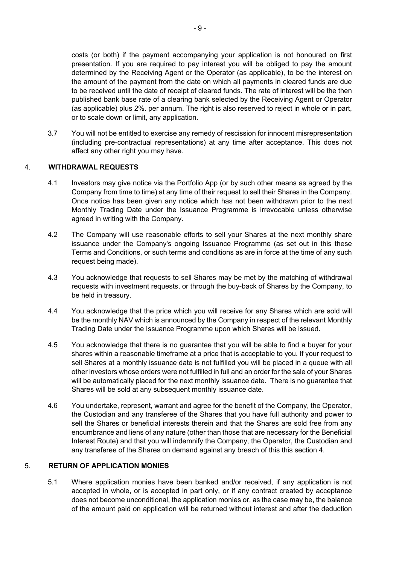costs (or both) if the payment accompanying your application is not honoured on first presentation. If you are required to pay interest you will be obliged to pay the amount determined by the Receiving Agent or the Operator (as applicable), to be the interest on the amount of the payment from the date on which all payments in cleared funds are due to be received until the date of receipt of cleared funds. The rate of interest will be the then published bank base rate of a clearing bank selected by the Receiving Agent or Operator (as applicable) plus 2%. per annum. The right is also reserved to reject in whole or in part, or to scale down or limit, any application.

3.7 You will not be entitled to exercise any remedy of rescission for innocent misrepresentation (including pre-contractual representations) at any time after acceptance. This does not affect any other right you may have.

# 4. **WITHDRAWAL REQUESTS**

- 4.1 Investors may give notice via the Portfolio App (or by such other means as agreed by the Company from time to time) at any time of their request to sell their Shares in the Company. Once notice has been given any notice which has not been withdrawn prior to the next Monthly Trading Date under the Issuance Programme is irrevocable unless otherwise agreed in writing with the Company.
- 4.2 The Company will use reasonable efforts to sell your Shares at the next monthly share issuance under the Company's ongoing Issuance Programme (as set out in this these Terms and Conditions, or such terms and conditions as are in force at the time of any such request being made).
- 4.3 You acknowledge that requests to sell Shares may be met by the matching of withdrawal requests with investment requests, or through the buy-back of Shares by the Company, to be held in treasury.
- 4.4 You acknowledge that the price which you will receive for any Shares which are sold will be the monthly NAV which is announced by the Company in respect of the relevant Monthly Trading Date under the Issuance Programme upon which Shares will be issued.
- 4.5 You acknowledge that there is no guarantee that you will be able to find a buyer for your shares within a reasonable timeframe at a price that is acceptable to you. If your request to sell Shares at a monthly issuance date is not fulfilled you will be placed in a queue with all other investors whose orders were not fulfilled in full and an order for the sale of your Shares will be automatically placed for the next monthly issuance date. There is no guarantee that Shares will be sold at any subsequent monthly issuance date.
- 4.6 You undertake, represent, warrant and agree for the benefit of the Company, the Operator, the Custodian and any transferee of the Shares that you have full authority and power to sell the Shares or beneficial interests therein and that the Shares are sold free from any encumbrance and liens of any nature (other than those that are necessary for the Beneficial Interest Route) and that you will indemnify the Company, the Operator, the Custodian and any transferee of the Shares on demand against any breach of this this section 4.

#### 5. **RETURN OF APPLICATION MONIES**

5.1 Where application monies have been banked and/or received, if any application is not accepted in whole, or is accepted in part only, or if any contract created by acceptance does not become unconditional, the application monies or, as the case may be, the balance of the amount paid on application will be returned without interest and after the deduction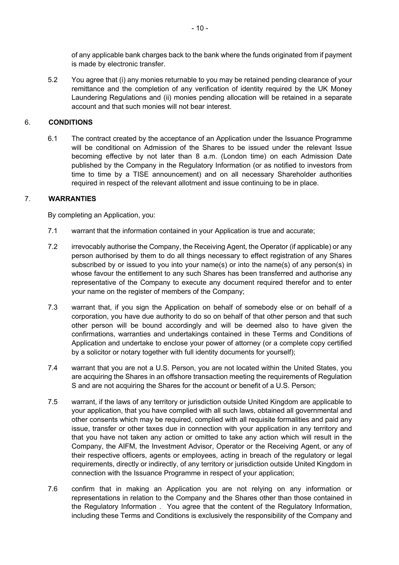of any applicable bank charges back to the bank where the funds originated from if payment is made by electronic transfer.

5.2 You agree that (i) any monies returnable to you may be retained pending clearance of your remittance and the completion of any verification of identity required by the UK Money Laundering Regulations and (ii) monies pending allocation will be retained in a separate account and that such monies will not bear interest.

# 6. **CONDITIONS**

6.1 The contract created by the acceptance of an Application under the Issuance Programme will be conditional on Admission of the Shares to be issued under the relevant Issue becoming effective by not later than 8 a.m. (London time) on each Admission Date published by the Company in the Regulatory Information (or as notified to investors from time to time by a TISE announcement) and on all necessary Shareholder authorities required in respect of the relevant allotment and issue continuing to be in place.

## 7. **WARRANTIES**

By completing an Application, you:

- 7.1 warrant that the information contained in your Application is true and accurate;
- 7.2 irrevocably authorise the Company, the Receiving Agent, the Operator (if applicable) or any person authorised by them to do all things necessary to effect registration of any Shares subscribed by or issued to you into your name(s) or into the name(s) of any person(s) in whose favour the entitlement to any such Shares has been transferred and authorise any representative of the Company to execute any document required therefor and to enter your name on the register of members of the Company;
- 7.3 warrant that, if you sign the Application on behalf of somebody else or on behalf of a corporation, you have due authority to do so on behalf of that other person and that such other person will be bound accordingly and will be deemed also to have given the confirmations, warranties and undertakings contained in these Terms and Conditions of Application and undertake to enclose your power of attorney (or a complete copy certified by a solicitor or notary together with full identity documents for yourself);
- 7.4 warrant that you are not a U.S. Person, you are not located within the United States, you are acquiring the Shares in an offshore transaction meeting the requirements of Regulation S and are not acquiring the Shares for the account or benefit of a U.S. Person;
- 7.5 warrant, if the laws of any territory or jurisdiction outside United Kingdom are applicable to your application, that you have complied with all such laws, obtained all governmental and other consents which may be required, complied with all requisite formalities and paid any issue, transfer or other taxes due in connection with your application in any territory and that you have not taken any action or omitted to take any action which will result in the Company, the AIFM, the Investment Advisor, Operator or the Receiving Agent, or any of their respective officers, agents or employees, acting in breach of the regulatory or legal requirements, directly or indirectly, of any territory or jurisdiction outside United Kingdom in connection with the Issuance Programme in respect of your application;
- 7.6 confirm that in making an Application you are not relying on any information or representations in relation to the Company and the Shares other than those contained in the Regulatory Information . You agree that the content of the Regulatory Information, including these Terms and Conditions is exclusively the responsibility of the Company and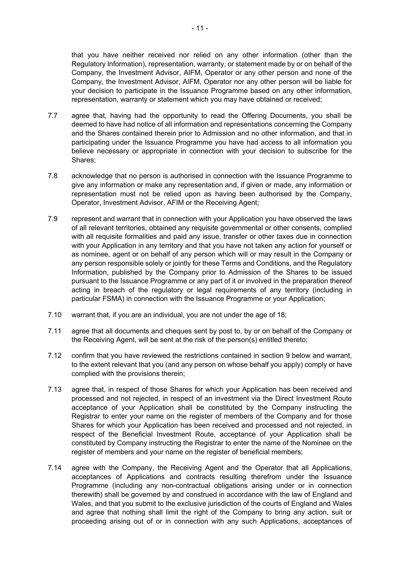that you have neither received nor relied on any other information (other than the Regulatory Information), representation, warranty, or statement made by or on behalf of the Company, the Investment Advisor, AIFM, Operator or any other person and none of the Company, the Investment Advisor, AIFM, Operator nor any other person will be liable for your decision to participate in the Issuance Programme based on any other information, representation, warranty or statement which you may have obtained or received;

- 7.7 agree that, having had the opportunity to read the Offering Documents, you shall be deemed to have had notice of all information and representations concerning the Company and the Shares contained therein prior to Admission and no other information, and that in participating under the Issuance Programme you have had access to all information you believe necessary or appropriate in connection with your decision to subscribe for the Shares;
- 7.8 acknowledge that no person is authorised in connection with the Issuance Programme to give any information or make any representation and, if given or made, any information or representation must not be relied upon as having been authorised by the Company, Operator, Investment Advisor, AFIM or the Receiving Agent;
- 7.9 represent and warrant that in connection with your Application you have observed the laws of all relevant territories, obtained any requisite governmental or other consents, complied with all requisite formalities and paid any issue, transfer or other taxes due in connection with your Application in any territory and that you have not taken any action for yourself or as nominee, agent or on behalf of any person which will or may result in the Company or any person responsible solely or jointly for these Terms and Conditions, and the Regulatory Information, published by the Company prior to Admission of the Shares to be issued pursuant to the Issuance Programme or any part of it or involved in the preparation thereof acting in breach of the regulatory or legal requirements of any territory (including in particular FSMA) in connection with the Issuance Programme or your Application;
- 7.10 warrant that, if you are an individual, you are not under the age of 18;
- 7.11 agree that all documents and cheques sent by post to, by or on behalf of the Company or the Receiving Agent, will be sent at the risk of the person(s) entitled thereto;
- 7.12 confirm that you have reviewed the restrictions contained in section 9 below and warrant, to the extent relevant that you (and any person on whose behalf you apply) comply or have complied with the provisions therein;
- 7.13 agree that, in respect of those Shares for which your Application has been received and processed and not rejected, in respect of an investment via the Direct Investment Route acceptance of your Application shall be constituted by the Company instructing the Registrar to enter your name on the register of members of the Company and for those Shares for which your Application has been received and processed and not rejected, in respect of the Beneficial Investment Route, acceptance of your Application shall be constituted by Company instructing the Registrar to enter the name of the Nominee on the register of members and your name on the register of beneficial members;
- 7.14 agree with the Company, the Receiving Agent and the Operator that all Applications, acceptances of Applications and contracts resulting therefrom under the Issuance Programme (including any non-contractual obligations arising under or in connection therewith) shall be governed by and construed in accordance with the law of England and Wales, and that you submit to the exclusive jurisdiction of the courts of England and Wales and agree that nothing shall limit the right of the Company to bring any action, suit or proceeding arising out of or in connection with any such Applications, acceptances of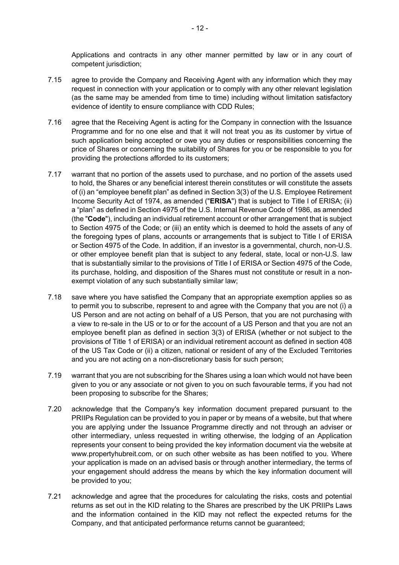Applications and contracts in any other manner permitted by law or in any court of competent jurisdiction;

- 7.15 agree to provide the Company and Receiving Agent with any information which they may request in connection with your application or to comply with any other relevant legislation (as the same may be amended from time to time) including without limitation satisfactory evidence of identity to ensure compliance with CDD Rules;
- 7.16 agree that the Receiving Agent is acting for the Company in connection with the Issuance Programme and for no one else and that it will not treat you as its customer by virtue of such application being accepted or owe you any duties or responsibilities concerning the price of Shares or concerning the suitability of Shares for you or be responsible to you for providing the protections afforded to its customers;
- 7.17 warrant that no portion of the assets used to purchase, and no portion of the assets used to hold, the Shares or any beneficial interest therein constitutes or will constitute the assets of (i) an "employee benefit plan" as defined in Section 3(3) of the U.S. Employee Retirement Income Security Act of 1974, as amended ("**ERISA**") that is subject to Title I of ERISA; (ii) a "plan" as defined in Section 4975 of the U.S. Internal Revenue Code of 1986, as amended (the "**Code**"), including an individual retirement account or other arrangement that is subject to Section 4975 of the Code; or (iii) an entity which is deemed to hold the assets of any of the foregoing types of plans, accounts or arrangements that is subject to Title I of ERISA or Section 4975 of the Code. In addition, if an investor is a governmental, church, non-U.S. or other employee benefit plan that is subject to any federal, state, local or non-U.S. law that is substantially similar to the provisions of Title I of ERISA or Section 4975 of the Code, its purchase, holding, and disposition of the Shares must not constitute or result in a nonexempt violation of any such substantially similar law;
- 7.18 save where you have satisfied the Company that an appropriate exemption applies so as to permit you to subscribe, represent to and agree with the Company that you are not (i) a US Person and are not acting on behalf of a US Person, that you are not purchasing with a view to re-sale in the US or to or for the account of a US Person and that you are not an employee benefit plan as defined in section 3(3) of ERISA (whether or not subject to the provisions of Title 1 of ERISA) or an individual retirement account as defined in section 408 of the US Tax Code or (ii) a citizen, national or resident of any of the Excluded Territories and you are not acting on a non-discretionary basis for such person;
- 7.19 warrant that you are not subscribing for the Shares using a loan which would not have been given to you or any associate or not given to you on such favourable terms, if you had not been proposing to subscribe for the Shares;
- 7.20 acknowledge that the Company's key information document prepared pursuant to the PRIIPs Regulation can be provided to you in paper or by means of a website, but that where you are applying under the Issuance Programme directly and not through an adviser or other intermediary, unless requested in writing otherwise, the lodging of an Application represents your consent to being provided the key information document via the website at www.propertyhubreit.com, or on such other website as has been notified to you. Where your application is made on an advised basis or through another intermediary, the terms of your engagement should address the means by which the key information document will be provided to you;
- 7.21 acknowledge and agree that the procedures for calculating the risks, costs and potential returns as set out in the KID relating to the Shares are prescribed by the UK PRIIPs Laws and the information contained in the KID may not reflect the expected returns for the Company, and that anticipated performance returns cannot be guaranteed;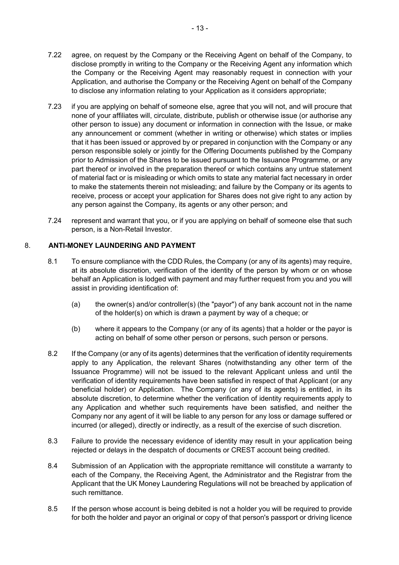- 7.22 agree, on request by the Company or the Receiving Agent on behalf of the Company, to disclose promptly in writing to the Company or the Receiving Agent any information which the Company or the Receiving Agent may reasonably request in connection with your Application, and authorise the Company or the Receiving Agent on behalf of the Company to disclose any information relating to your Application as it considers appropriate;
- 7.23 if you are applying on behalf of someone else, agree that you will not, and will procure that none of your affiliates will, circulate, distribute, publish or otherwise issue (or authorise any other person to issue) any document or information in connection with the Issue, or make any announcement or comment (whether in writing or otherwise) which states or implies that it has been issued or approved by or prepared in conjunction with the Company or any person responsible solely or jointly for the Offering Documents published by the Company prior to Admission of the Shares to be issued pursuant to the Issuance Programme, or any part thereof or involved in the preparation thereof or which contains any untrue statement of material fact or is misleading or which omits to state any material fact necessary in order to make the statements therein not misleading; and failure by the Company or its agents to receive, process or accept your application for Shares does not give right to any action by any person against the Company, its agents or any other person; and
- 7.24 represent and warrant that you, or if you are applying on behalf of someone else that such person, is a Non-Retail Investor.

# 8. **ANTI-MONEY LAUNDERING AND PAYMENT**

- 8.1 To ensure compliance with the CDD Rules, the Company (or any of its agents) may require, at its absolute discretion, verification of the identity of the person by whom or on whose behalf an Application is lodged with payment and may further request from you and you will assist in providing identification of:
	- (a) the owner(s) and/or controller(s) (the "payor") of any bank account not in the name of the holder(s) on which is drawn a payment by way of a cheque; or
	- (b) where it appears to the Company (or any of its agents) that a holder or the payor is acting on behalf of some other person or persons, such person or persons.
- 8.2 If the Company (or any of its agents) determines that the verification of identity requirements apply to any Application, the relevant Shares (notwithstanding any other term of the Issuance Programme) will not be issued to the relevant Applicant unless and until the verification of identity requirements have been satisfied in respect of that Applicant (or any beneficial holder) or Application. The Company (or any of its agents) is entitled, in its absolute discretion, to determine whether the verification of identity requirements apply to any Application and whether such requirements have been satisfied, and neither the Company nor any agent of it will be liable to any person for any loss or damage suffered or incurred (or alleged), directly or indirectly, as a result of the exercise of such discretion.
- 8.3 Failure to provide the necessary evidence of identity may result in your application being rejected or delays in the despatch of documents or CREST account being credited.
- 8.4 Submission of an Application with the appropriate remittance will constitute a warranty to each of the Company, the Receiving Agent, the Administrator and the Registrar from the Applicant that the UK Money Laundering Regulations will not be breached by application of such remittance.
- 8.5 If the person whose account is being debited is not a holder you will be required to provide for both the holder and payor an original or copy of that person's passport or driving licence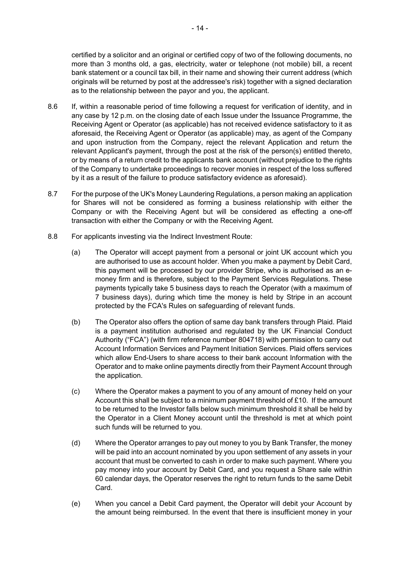certified by a solicitor and an original or certified copy of two of the following documents, no more than 3 months old, a gas, electricity, water or telephone (not mobile) bill, a recent bank statement or a council tax bill, in their name and showing their current address (which originals will be returned by post at the addressee's risk) together with a signed declaration as to the relationship between the payor and you, the applicant.

- 8.6 If, within a reasonable period of time following a request for verification of identity, and in any case by 12 p.m. on the closing date of each Issue under the Issuance Programme, the Receiving Agent or Operator (as applicable) has not received evidence satisfactory to it as aforesaid, the Receiving Agent or Operator (as applicable) may, as agent of the Company and upon instruction from the Company, reject the relevant Application and return the relevant Applicant's payment, through the post at the risk of the person(s) entitled thereto, or by means of a return credit to the applicants bank account (without prejudice to the rights of the Company to undertake proceedings to recover monies in respect of the loss suffered by it as a result of the failure to produce satisfactory evidence as aforesaid).
- 8.7 For the purpose of the UK's Money Laundering Regulations, a person making an application for Shares will not be considered as forming a business relationship with either the Company or with the Receiving Agent but will be considered as effecting a one-off transaction with either the Company or with the Receiving Agent.
- 8.8 For applicants investing via the Indirect Investment Route:
	- (a) The Operator will accept payment from a personal or joint UK account which you are authorised to use as account holder. When you make a payment by Debit Card, this payment will be processed by our provider Stripe, who is authorised as an emoney firm and is therefore, subject to the Payment Services Regulations. These payments typically take 5 business days to reach the Operator (with a maximum of 7 business days), during which time the money is held by Stripe in an account protected by the FCA's Rules on safeguarding of relevant funds.
	- (b) The Operator also offers the option of same day bank transfers through Plaid. Plaid is a payment institution authorised and regulated by the UK Financial Conduct Authority ("FCA") (with firm reference number 804718) with permission to carry out Account Information Services and Payment Initiation Services. Plaid offers services which allow End-Users to share access to their bank account Information with the Operator and to make online payments directly from their Payment Account through the application.
	- (c) Where the Operator makes a payment to you of any amount of money held on your Account this shall be subject to a minimum payment threshold of  $£10$ . If the amount to be returned to the Investor falls below such minimum threshold it shall be held by the Operator in a Client Money account until the threshold is met at which point such funds will be returned to you.
	- (d) Where the Operator arranges to pay out money to you by Bank Transfer, the money will be paid into an account nominated by you upon settlement of any assets in your account that must be converted to cash in order to make such payment. Where you pay money into your account by Debit Card, and you request a Share sale within 60 calendar days, the Operator reserves the right to return funds to the same Debit Card.
	- (e) When you cancel a Debit Card payment, the Operator will debit your Account by the amount being reimbursed. In the event that there is insufficient money in your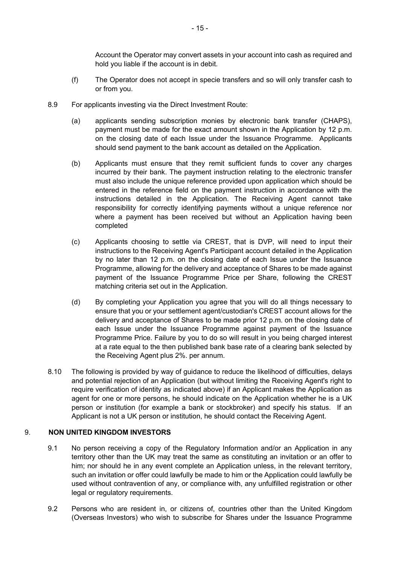Account the Operator may convert assets in your account into cash as required and hold you liable if the account is in debit.

- (f) The Operator does not accept in specie transfers and so will only transfer cash to or from you.
- 8.9 For applicants investing via the Direct Investment Route:
	- (a) applicants sending subscription monies by electronic bank transfer (CHAPS), payment must be made for the exact amount shown in the Application by 12 p.m. on the closing date of each Issue under the Issuance Programme. Applicants should send payment to the bank account as detailed on the Application.
	- (b) Applicants must ensure that they remit sufficient funds to cover any charges incurred by their bank. The payment instruction relating to the electronic transfer must also include the unique reference provided upon application which should be entered in the reference field on the payment instruction in accordance with the instructions detailed in the Application. The Receiving Agent cannot take responsibility for correctly identifying payments without a unique reference nor where a payment has been received but without an Application having been completed
	- (c) Applicants choosing to settle via CREST, that is DVP, will need to input their instructions to the Receiving Agent's Participant account detailed in the Application by no later than 12 p.m. on the closing date of each Issue under the Issuance Programme, allowing for the delivery and acceptance of Shares to be made against payment of the Issuance Programme Price per Share, following the CREST matching criteria set out in the Application.
	- (d) By completing your Application you agree that you will do all things necessary to ensure that you or your settlement agent/custodian's CREST account allows for the delivery and acceptance of Shares to be made prior 12 p.m. on the closing date of each Issue under the Issuance Programme against payment of the Issuance Programme Price. Failure by you to do so will result in you being charged interest at a rate equal to the then published bank base rate of a clearing bank selected by the Receiving Agent plus 2%. per annum.
- 8.10 The following is provided by way of guidance to reduce the likelihood of difficulties, delays and potential rejection of an Application (but without limiting the Receiving Agent's right to require verification of identity as indicated above) if an Applicant makes the Application as agent for one or more persons, he should indicate on the Application whether he is a UK person or institution (for example a bank or stockbroker) and specify his status. If an Applicant is not a UK person or institution, he should contact the Receiving Agent.

# 9. **NON UNITED KINGDOM INVESTORS**

- 9.1 No person receiving a copy of the Regulatory Information and/or an Application in any territory other than the UK may treat the same as constituting an invitation or an offer to him; nor should he in any event complete an Application unless, in the relevant territory, such an invitation or offer could lawfully be made to him or the Application could lawfully be used without contravention of any, or compliance with, any unfulfilled registration or other legal or regulatory requirements.
- 9.2 Persons who are resident in, or citizens of, countries other than the United Kingdom (Overseas Investors) who wish to subscribe for Shares under the Issuance Programme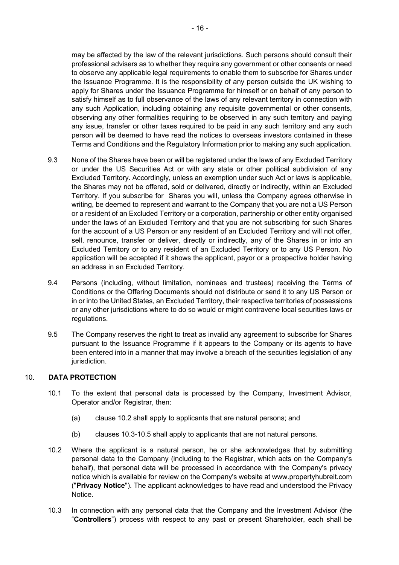may be affected by the law of the relevant jurisdictions. Such persons should consult their professional advisers as to whether they require any government or other consents or need to observe any applicable legal requirements to enable them to subscribe for Shares under the Issuance Programme. It is the responsibility of any person outside the UK wishing to apply for Shares under the Issuance Programme for himself or on behalf of any person to satisfy himself as to full observance of the laws of any relevant territory in connection with any such Application, including obtaining any requisite governmental or other consents, observing any other formalities requiring to be observed in any such territory and paying any issue, transfer or other taxes required to be paid in any such territory and any such person will be deemed to have read the notices to overseas investors contained in these Terms and Conditions and the Regulatory Information prior to making any such application.

- 9.3 None of the Shares have been or will be registered under the laws of any Excluded Territory or under the US Securities Act or with any state or other political subdivision of any Excluded Territory. Accordingly, unless an exemption under such Act or laws is applicable, the Shares may not be offered, sold or delivered, directly or indirectly, within an Excluded Territory. If you subscribe for Shares you will, unless the Company agrees otherwise in writing, be deemed to represent and warrant to the Company that you are not a US Person or a resident of an Excluded Territory or a corporation, partnership or other entity organised under the laws of an Excluded Territory and that you are not subscribing for such Shares for the account of a US Person or any resident of an Excluded Territory and will not offer, sell, renounce, transfer or deliver, directly or indirectly, any of the Shares in or into an Excluded Territory or to any resident of an Excluded Territory or to any US Person. No application will be accepted if it shows the applicant, payor or a prospective holder having an address in an Excluded Territory.
- 9.4 Persons (including, without limitation, nominees and trustees) receiving the Terms of Conditions or the Offering Documents should not distribute or send it to any US Person or in or into the United States, an Excluded Territory, their respective territories of possessions or any other jurisdictions where to do so would or might contravene local securities laws or regulations.
- 9.5 The Company reserves the right to treat as invalid any agreement to subscribe for Shares pursuant to the Issuance Programme if it appears to the Company or its agents to have been entered into in a manner that may involve a breach of the securities legislation of any jurisdiction.

# 10. **DATA PROTECTION**

- 10.1 To the extent that personal data is processed by the Company, Investment Advisor, Operator and/or Registrar, then:
	- (a) clause 10.2 shall apply to applicants that are natural persons; and
	- (b) clauses 10.3-10.5 shall apply to applicants that are not natural persons.
- 10.2 Where the applicant is a natural person, he or she acknowledges that by submitting personal data to the Company (including to the Registrar, which acts on the Company's behalf), that personal data will be processed in accordance with the Company's privacy notice which is available for review on the Company's website at www.propertyhubreit.com ("**Privacy Notice**"). The applicant acknowledges to have read and understood the Privacy Notice.
- 10.3 In connection with any personal data that the Company and the Investment Advisor (the "**Controllers**") process with respect to any past or present Shareholder, each shall be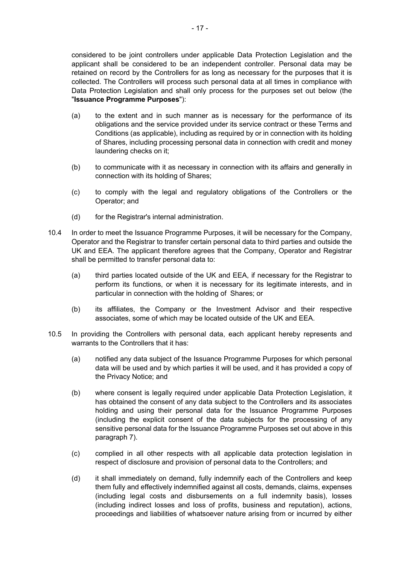considered to be joint controllers under applicable Data Protection Legislation and the applicant shall be considered to be an independent controller. Personal data may be retained on record by the Controllers for as long as necessary for the purposes that it is collected. The Controllers will process such personal data at all times in compliance with Data Protection Legislation and shall only process for the purposes set out below (the "**Issuance Programme Purposes**"):

- (a) to the extent and in such manner as is necessary for the performance of its obligations and the service provided under its service contract or these Terms and Conditions (as applicable), including as required by or in connection with its holding of Shares, including processing personal data in connection with credit and money laundering checks on it;
- (b) to communicate with it as necessary in connection with its affairs and generally in connection with its holding of Shares;
- (c) to comply with the legal and regulatory obligations of the Controllers or the Operator; and
- (d) for the Registrar's internal administration.
- 10.4 In order to meet the Issuance Programme Purposes, it will be necessary for the Company, Operator and the Registrar to transfer certain personal data to third parties and outside the UK and EEA. The applicant therefore agrees that the Company, Operator and Registrar shall be permitted to transfer personal data to:
	- (a) third parties located outside of the UK and EEA, if necessary for the Registrar to perform its functions, or when it is necessary for its legitimate interests, and in particular in connection with the holding of Shares; or
	- (b) its affiliates, the Company or the Investment Advisor and their respective associates, some of which may be located outside of the UK and EEA.
- 10.5 In providing the Controllers with personal data, each applicant hereby represents and warrants to the Controllers that it has:
	- (a) notified any data subject of the Issuance Programme Purposes for which personal data will be used and by which parties it will be used, and it has provided a copy of the Privacy Notice; and
	- (b) where consent is legally required under applicable Data Protection Legislation, it has obtained the consent of any data subject to the Controllers and its associates holding and using their personal data for the Issuance Programme Purposes (including the explicit consent of the data subjects for the processing of any sensitive personal data for the Issuance Programme Purposes set out above in this paragraph 7).
	- (c) complied in all other respects with all applicable data protection legislation in respect of disclosure and provision of personal data to the Controllers; and
	- (d) it shall immediately on demand, fully indemnify each of the Controllers and keep them fully and effectively indemnified against all costs, demands, claims, expenses (including legal costs and disbursements on a full indemnity basis), losses (including indirect losses and loss of profits, business and reputation), actions, proceedings and liabilities of whatsoever nature arising from or incurred by either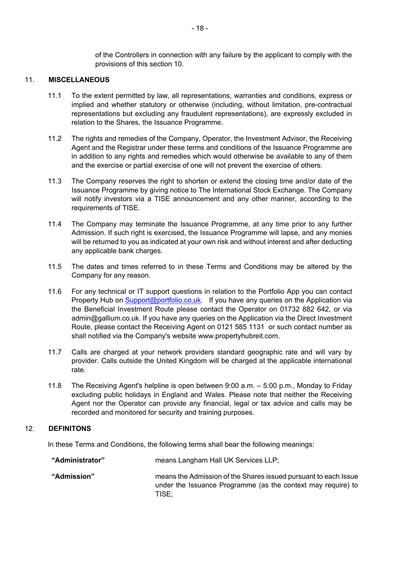of the Controllers in connection with any failure by the applicant to comply with the provisions of this section 10.

## 11. **MISCELLANEOUS**

- 11.1 To the extent permitted by law, all representations, warranties and conditions, express or implied and whether statutory or otherwise (including, without limitation, pre-contractual representations but excluding any fraudulent representations), are expressly excluded in relation to the Shares, the Issuance Programme.
- 11.2 The rights and remedies of the Company, Operator, the Investment Advisor, the Receiving Agent and the Registrar under these terms and conditions of the Issuance Programme are in addition to any rights and remedies which would otherwise be available to any of them and the exercise or partial exercise of one will not prevent the exercise of others.
- 11.3 The Company reserves the right to shorten or extend the closing time and/or date of the Issuance Programme by giving notice to The International Stock Exchange. The Company will notify investors via a TISE announcement and any other manner, according to the requirements of TISE.
- 11.4 The Company may terminate the Issuance Programme, at any time prior to any further Admission. If such right is exercised, the Issuance Programme will lapse, and any monies will be returned to you as indicated at your own risk and without interest and after deducting any applicable bank charges.
- 11.5 The dates and times referred to in these Terms and Conditions may be altered by the Company for any reason.
- 11.6 For any technical or IT support questions in relation to the Portfolio App you can contact Property Hub on Support@portfolio.co.uk. If you have any queries on the Application via the Beneficial Investment Route please contact the Operator on 01732 882 642, or via admin@gallium.co.uk. If you have any queries on the Application via the Direct Investment Route, please contact the Receiving Agent on 0121 585 1131 or such contact number as shall notified via the Company's website www.propertyhubreit.com.
- 11.7 Calls are charged at your network providers standard geographic rate and will vary by provider. Calls outside the United Kingdom will be charged at the applicable international rate.
- 11.8 The Receiving Agent's helpline is open between 9:00 a.m. 5:00 p.m., Monday to Friday excluding public holidays in England and Wales. Please note that neither the Receiving Agent nor the Operator can provide any financial, legal or tax advice and calls may be recorded and monitored for security and training purposes.

#### 12. **DEFINITONS**

In these Terms and Conditions, the following terms shall bear the following meanings:

| "Administrator" | means Langham Hall UK Services LLP;                                                                                                      |
|-----------------|------------------------------------------------------------------------------------------------------------------------------------------|
| "Admission"     | means the Admission of the Shares issued pursuant to each Issue<br>under the Issuance Programme (as the context may require) to<br>TISE: |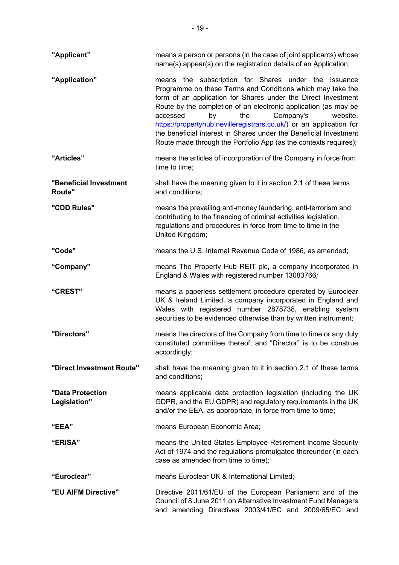| "Applicant"                      | means a person or persons (in the case of joint applicants) whose<br>name(s) appear(s) on the registration details of an Application;                                                                                                                                                                                                                                                                                                                                                                                    |
|----------------------------------|--------------------------------------------------------------------------------------------------------------------------------------------------------------------------------------------------------------------------------------------------------------------------------------------------------------------------------------------------------------------------------------------------------------------------------------------------------------------------------------------------------------------------|
| "Application"                    | means the subscription for Shares under the Issuance<br>Programme on these Terms and Conditions which may take the<br>form of an application for Shares under the Direct Investment<br>Route by the completion of an electronic application (as may be<br>accessed<br>the<br>Company's<br>by<br>website,<br>https://propertyhub.nevilleregistrars.co.uk/) or an application for<br>the beneficial interest in Shares under the Beneficial Investment<br>Route made through the Portfolio App (as the contexts requires); |
| "Articles"                       | means the articles of incorporation of the Company in force from<br>time to time;                                                                                                                                                                                                                                                                                                                                                                                                                                        |
| "Beneficial Investment<br>Route" | shall have the meaning given to it in section 2.1 of these terms<br>and conditions;                                                                                                                                                                                                                                                                                                                                                                                                                                      |
| "CDD Rules"                      | means the prevailing anti-money laundering, anti-terrorism and<br>contributing to the financing of criminal activities legislation,<br>regulations and procedures in force from time to time in the<br>United Kingdom;                                                                                                                                                                                                                                                                                                   |
| "Code"                           | means the U.S. Internal Revenue Code of 1986, as amended;                                                                                                                                                                                                                                                                                                                                                                                                                                                                |
| "Company"                        | means The Property Hub REIT plc, a company incorporated in<br>England & Wales with registered number 13083766;                                                                                                                                                                                                                                                                                                                                                                                                           |
| "CREST"                          | means a paperless settlement procedure operated by Euroclear<br>UK & Ireland Limited, a company incorporated in England and<br>Wales with registered number 2878738, enabling system<br>securities to be evidenced otherwise than by written instrument;                                                                                                                                                                                                                                                                 |
| "Directors"                      | means the directors of the Company from time to time or any duly<br>constituted committee thereof, and "Director" is to be construe<br>accordingly;                                                                                                                                                                                                                                                                                                                                                                      |
| "Direct Investment Route"        | shall have the meaning given to it in section 2.1 of these terms<br>and conditions;                                                                                                                                                                                                                                                                                                                                                                                                                                      |
| "Data Protection<br>Legislation" | means applicable data protection legislation (including the UK<br>GDPR, and the EU GDPR) and regulatory requirements in the UK<br>and/or the EEA, as appropriate, in force from time to time;                                                                                                                                                                                                                                                                                                                            |
| "EEA"                            | means European Economic Area;                                                                                                                                                                                                                                                                                                                                                                                                                                                                                            |
| <b>"ERISA"</b>                   | means the United States Employee Retirement Income Security<br>Act of 1974 and the regulations promulgated thereunder (in each<br>case as amended from time to time);                                                                                                                                                                                                                                                                                                                                                    |
| "Euroclear"                      | means Euroclear UK & International Limited;                                                                                                                                                                                                                                                                                                                                                                                                                                                                              |
| "EU AIFM Directive"              | Directive 2011/61/EU of the European Parliament and of the<br>Council of 8 June 2011 on Alternative Investment Fund Managers<br>and amending Directives 2003/41/EC and 2009/65/EC and                                                                                                                                                                                                                                                                                                                                    |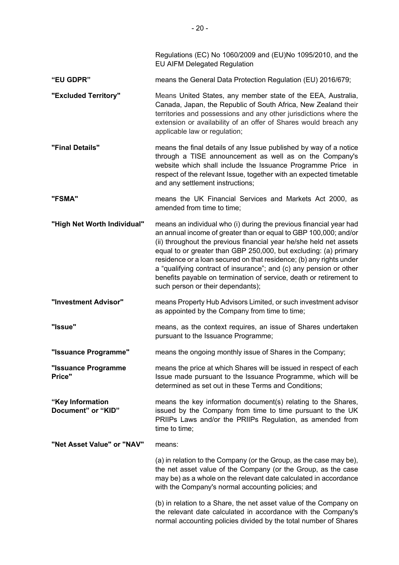|                                        | Regulations (EC) No 1060/2009 and (EU)No 1095/2010, and the<br><b>EU AIFM Delegated Regulation</b>                                                                                                                                                                                                                                                                                                                                                                                                                                       |
|----------------------------------------|------------------------------------------------------------------------------------------------------------------------------------------------------------------------------------------------------------------------------------------------------------------------------------------------------------------------------------------------------------------------------------------------------------------------------------------------------------------------------------------------------------------------------------------|
| "EU GDPR"                              | means the General Data Protection Regulation (EU) 2016/679;                                                                                                                                                                                                                                                                                                                                                                                                                                                                              |
| "Excluded Territory"                   | Means United States, any member state of the EEA, Australia,<br>Canada, Japan, the Republic of South Africa, New Zealand their<br>territories and possessions and any other jurisdictions where the<br>extension or availability of an offer of Shares would breach any<br>applicable law or regulation;                                                                                                                                                                                                                                 |
| "Final Details"                        | means the final details of any Issue published by way of a notice<br>through a TISE announcement as well as on the Company's<br>website which shall include the Issuance Programme Price in<br>respect of the relevant Issue, together with an expected timetable<br>and any settlement instructions;                                                                                                                                                                                                                                    |
| "FSMA"                                 | means the UK Financial Services and Markets Act 2000, as<br>amended from time to time;                                                                                                                                                                                                                                                                                                                                                                                                                                                   |
| "High Net Worth Individual"            | means an individual who (i) during the previous financial year had<br>an annual income of greater than or equal to GBP 100,000; and/or<br>(ii) throughout the previous financial year he/she held net assets<br>equal to or greater than GBP 250,000, but excluding: (a) primary<br>residence or a loan secured on that residence; (b) any rights under<br>a "qualifying contract of insurance"; and (c) any pension or other<br>benefits payable on termination of service, death or retirement to<br>such person or their dependants); |
| "Investment Advisor"                   | means Property Hub Advisors Limited, or such investment advisor<br>as appointed by the Company from time to time;                                                                                                                                                                                                                                                                                                                                                                                                                        |
| "Issue"                                | means, as the context requires, an issue of Shares undertaken<br>pursuant to the Issuance Programme;                                                                                                                                                                                                                                                                                                                                                                                                                                     |
| "Issuance Programme"                   | means the ongoing monthly issue of Shares in the Company;                                                                                                                                                                                                                                                                                                                                                                                                                                                                                |
| "Issuance Programme<br>Price"          | means the price at which Shares will be issued in respect of each<br>Issue made pursuant to the Issuance Programme, which will be<br>determined as set out in these Terms and Conditions;                                                                                                                                                                                                                                                                                                                                                |
| "Key Information<br>Document" or "KID" | means the key information document(s) relating to the Shares,<br>issued by the Company from time to time pursuant to the UK<br>PRIIPs Laws and/or the PRIIPs Regulation, as amended from<br>time to time;                                                                                                                                                                                                                                                                                                                                |
| "Net Asset Value" or "NAV"             | means:                                                                                                                                                                                                                                                                                                                                                                                                                                                                                                                                   |
|                                        | (a) in relation to the Company (or the Group, as the case may be),<br>the net asset value of the Company (or the Group, as the case<br>may be) as a whole on the relevant date calculated in accordance<br>with the Company's normal accounting policies; and                                                                                                                                                                                                                                                                            |
|                                        | (b) in relation to a Share, the net asset value of the Company on<br>the relevant date calculated in accordance with the Company's<br>normal accounting policies divided by the total number of Shares                                                                                                                                                                                                                                                                                                                                   |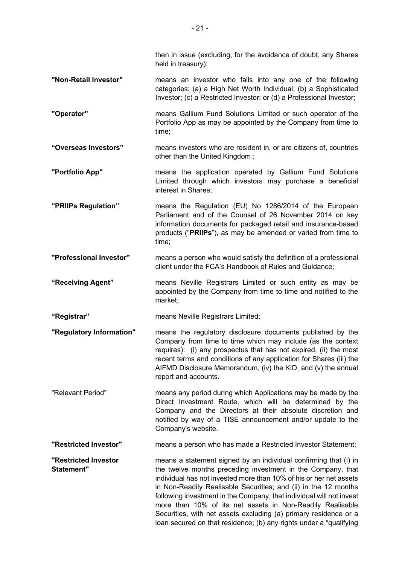then in issue (excluding, for the avoidance of doubt, any Shares held in treasury);

- **"Non-Retail Investor"** means an investor who falls into any one of the following categories: (a) a High Net Worth Individual; (b) a Sophisticated Investor; (c) a Restricted Investor; or (d) a Professional Investor;
- **"Operator"** means Gallium Fund Solutions Limited or such operator of the Portfolio App as may be appointed by the Company from time to time;
- **"Overseas Investors"** means investors who are resident in, or are citizens of, countries other than the United Kingdom ;
- **"Portfolio App"** means the application operated by Gallium Fund Solutions Limited through which investors may purchase a beneficial interest in Shares;
- **"PRIIPs Regulation"** means the Regulation (EU) No 1286/2014 of the European Parliament and of the Counsel of 26 November 2014 on key information documents for packaged retail and insurance-based products ("**PRIIPs**"), as may be amended or varied from time to time;
- **"Professional Investor"** means a person who would satisfy the definition of a professional client under the FCA's Handbook of Rules and Guidance;
- **"Receiving Agent"** means Neville Registrars Limited or such entity as may be appointed by the Company from time to time and notified to the market;

**"Registrar"** means Neville Registrars Limited;

- **"Regulatory Information"** means the regulatory disclosure documents published by the Company from time to time which may include (as the context requires): (i) any prospectus that has not expired, (ii) the most recent terms and conditions of any application for Shares (iii) the AIFMD Disclosure Memorandum, (iv) the KID, and (v) the annual report and accounts.
- "Relevant Period" means any period during which Applications may be made by the Direct Investment Route, which will be determined by the Company and the Directors at their absolute discretion and notified by way of a TISE announcement and/or update to the Company's website.

**"Restricted Investor"** means a person who has made a Restricted Investor Statement;

**"Restricted Investor Statement"** means a statement signed by an individual confirming that (i) in the twelve months preceding investment in the Company, that individual has not invested more than 10% of his or her net assets in Non-Readily Realisable Securities; and (ii) in the 12 months following investment in the Company, that individual will not invest more than 10% of its net assets in Non-Readily Realisable Securities, with net assets excluding (a) primary residence or a loan secured on that residence; (b) any rights under a "qualifying